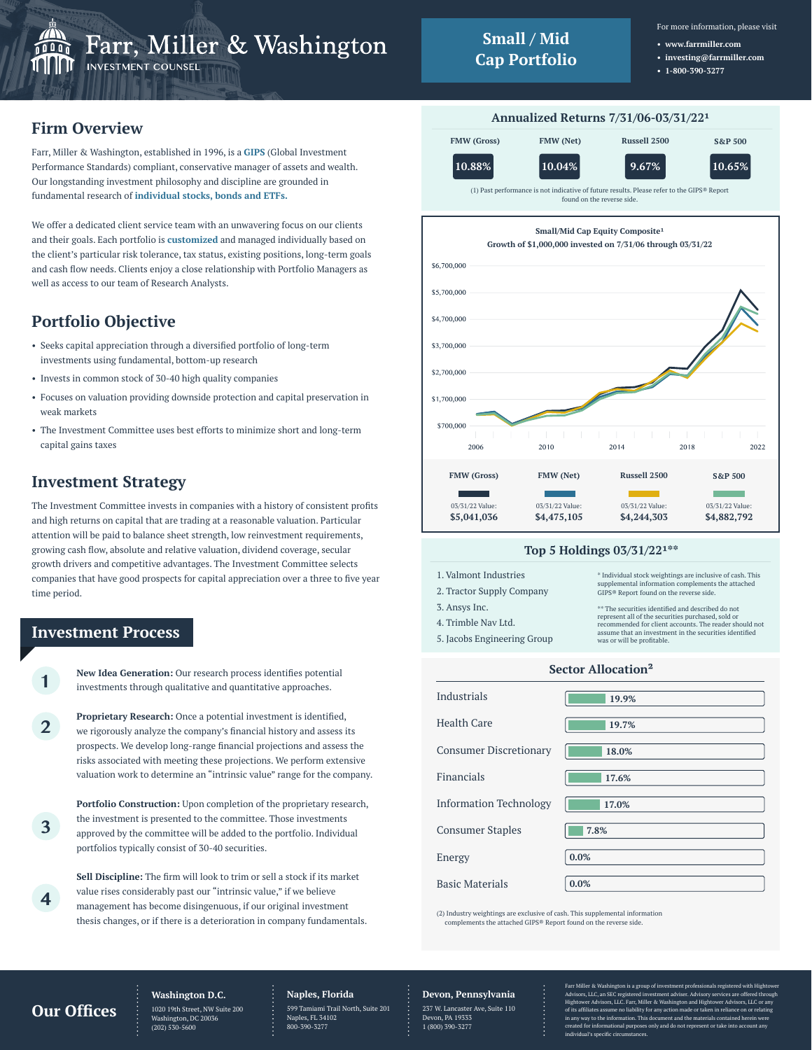

- For more information, please visit
- **www.farrmiller.com**
- **investing@farrmiller.com**
	- **1-800-390-3277**

## **Firm Overview**

Farr, Miller & Washington, established in 1996, is a **GIPS** (Global Investment Performance Standards) compliant, conservative manager of assets and wealth. Our longstanding investment philosophy and discipline are grounded in fundamental research of **individual stocks, bonds and ETFs.**

We offer a dedicated client service team with an unwavering focus on our clients and their goals. Each portfolio is **customized** and managed individually based on the client's particular risk tolerance, tax status, existing positions, long-term goals and cash flow needs. Clients enjoy a close relationship with Portfolio Managers as well as access to our team of Research Analysts.

# **Portfolio Objective**

- Seeks capital appreciation through a diversified portfolio of long-term investments using fundamental, bottom-up research
- Invests in common stock of 30-40 high quality companies
- Focuses on valuation providing downside protection and capital preservation in weak markets
- The Investment Committee uses best efforts to minimize short and long-term capital gains taxes

# **Investment Strategy**

The Investment Committee invests in companies with a history of consistent profits and high returns on capital that are trading at a reasonable valuation. Particular attention will be paid to balance sheet strength, low reinvestment requirements, growing cash flow, absolute and relative valuation, dividend coverage, secular growth drivers and competitive advantages. The Investment Committee selects companies that have good prospects for capital appreciation over a three to five year time period.

## **Investment Process**

**1**

**2**

**3**

**4**

**New Idea Generation:** Our research process identifies potential investments through qualitative and quantitative approaches.

**Proprietary Research:** Once a potential investment is identified, we rigorously analyze the company's financial history and assess its prospects. We develop long-range financial projections and assess the risks associated with meeting these projections. We perform extensive valuation work to determine an "intrinsic value" range for the company.

**Portfolio Construction:** Upon completion of the proprietary research, the investment is presented to the committee. Those investments approved by the committee will be added to the portfolio. Individual portfolios typically consist of 30-40 securities.

**Sell Discipline:** The firm will look to trim or sell a stock if its market value rises considerably past our "intrinsic value," if we believe management has become disingenuous, if our original investment thesis changes, or if there is a deterioration in company fundamentals.



#### **Top 5 Holdings 03/31/22\*\***

| 1. Valmont Industries<br>2. Tractor Supply Company<br>3. Ansys Inc. | * Individual stock weightings are inclusive of cash. This<br>supplemental information complements the attached<br>GIPS® Report found on the reverse side.<br>** The securities identified and described do not |
|---------------------------------------------------------------------|----------------------------------------------------------------------------------------------------------------------------------------------------------------------------------------------------------------|
| 4. Trimble Nav Ltd.<br>5. Jacobs Engineering Group                  | represent all of the securities purchased, sold or<br>recommended for client accounts. The reader should not<br>assume that an investment in the securities identified<br>was or will be profitable.           |
|                                                                     |                                                                                                                                                                                                                |

#### **Sector Allocation²**

| Industrials                   | 19.9% |
|-------------------------------|-------|
| <b>Health Care</b>            | 19.7% |
| <b>Consumer Discretionary</b> | 18.0% |
| Financials                    | 17.6% |
| <b>Information Technology</b> | 17.0% |
| <b>Consumer Staples</b>       | 7.8%  |
| Energy                        | 0.0%  |
| <b>Basic Materials</b>        | 0.0%  |

(2) Industry weightings are exclusive of cash. This supplemental information complements the attached GIPS® Report found on the reverse side.

## **Our Offices**

## **Washington D.C.**

1020 19th Street, NW Suite 200  $\frac{1}{2}$ ton, DC 2003 (202) 530-5600

#### **Naples, Florida** 599 Tamiami Trail North, Suite 201 Naples, FL 34102 800-390-3277

**Devon, Pennsylvania**

237 W. Lancaster Ave, Suite 110 Devon, PA 19333 1 (800) 390-3277

Farr Miller & Washington is a group of investment professionals registered with Hightower Advisors, LLC, an SEC registered investment adviser. Advisory services are offered through Hightower Advisors, LLC. Farr, Miller & Washington and Hightower Advisors, LLC or any of its affiliates assume no liability for any action made or taken in reliance on<br>in any way to the information. This document and the materials contained he .<br>Int and the mat ed for informational purposes only and do not repr individual's specific circumstances.

#### **Annualized Returns 7/31/06-03/31/22**